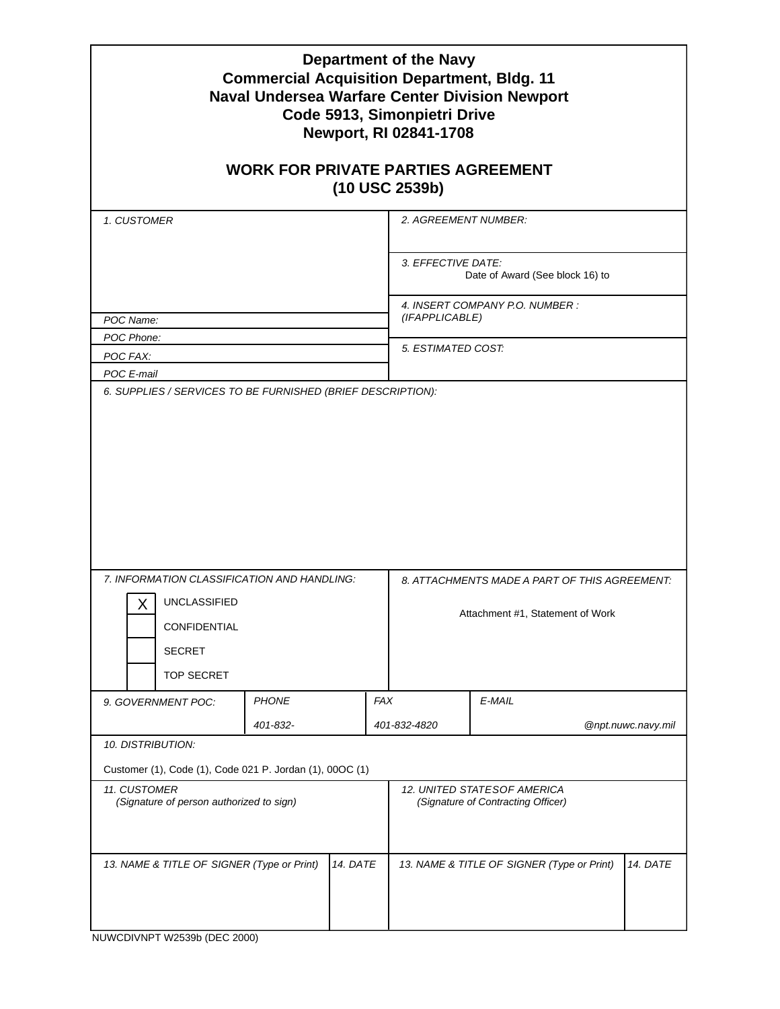| <b>Department of the Navy</b><br><b>Commercial Acquisition Department, Bldg. 11</b><br><b>Naval Undersea Warfare Center Division Newport</b><br>Code 5913, Simonpietri Drive<br>Newport, RI 02841-1708                                                                              |          |  |                                                                   |                    |  |
|-------------------------------------------------------------------------------------------------------------------------------------------------------------------------------------------------------------------------------------------------------------------------------------|----------|--|-------------------------------------------------------------------|--------------------|--|
| <b>WORK FOR PRIVATE PARTIES AGREEMENT</b><br>(10 USC 2539b)                                                                                                                                                                                                                         |          |  |                                                                   |                    |  |
| 1. CUSTOMER                                                                                                                                                                                                                                                                         |          |  | 2. AGREEMENT NUMBER:                                              |                    |  |
|                                                                                                                                                                                                                                                                                     |          |  | 3. EFFECTIVE DATE:<br>Date of Award (See block 16) to             |                    |  |
| POC Name:                                                                                                                                                                                                                                                                           |          |  | 4. INSERT COMPANY P.O. NUMBER :<br>(IFAPPLICABLE)                 |                    |  |
| POC Phone:                                                                                                                                                                                                                                                                          |          |  | 5. ESTIMATED COST:                                                |                    |  |
| POC FAX:<br>POC E-mail                                                                                                                                                                                                                                                              |          |  |                                                                   |                    |  |
| 7. INFORMATION CLASSIFICATION AND HANDLING:<br>8. ATTACHMENTS MADE A PART OF THIS AGREEMENT:<br><b>UNCLASSIFIED</b><br>Х<br>Attachment #1, Statement of Work<br>CONFIDENTIAL<br><b>SECRET</b><br><b>TOP SECRET</b><br><b>PHONE</b><br><b>FAX</b><br>$E$ -MAIL<br>9. GOVERNMENT POC: |          |  |                                                                   |                    |  |
|                                                                                                                                                                                                                                                                                     | 401-832- |  | 401-832-4820                                                      | @npt.nuwc.navy.mil |  |
| <i><b>10. DISTRIBUTION:</b></i>                                                                                                                                                                                                                                                     |          |  |                                                                   |                    |  |
| Customer (1), Code (1), Code 021 P. Jordan (1), 00OC (1)                                                                                                                                                                                                                            |          |  |                                                                   |                    |  |
| 11. CUSTOMER<br>(Signature of person authorized to sign)                                                                                                                                                                                                                            |          |  | 12. UNITED STATESOF AMERICA<br>(Signature of Contracting Officer) |                    |  |
| 14. DATE<br>13. NAME & TITLE OF SIGNER (Type or Print)                                                                                                                                                                                                                              |          |  | 13. NAME & TITLE OF SIGNER (Type or Print)<br>14. DATE            |                    |  |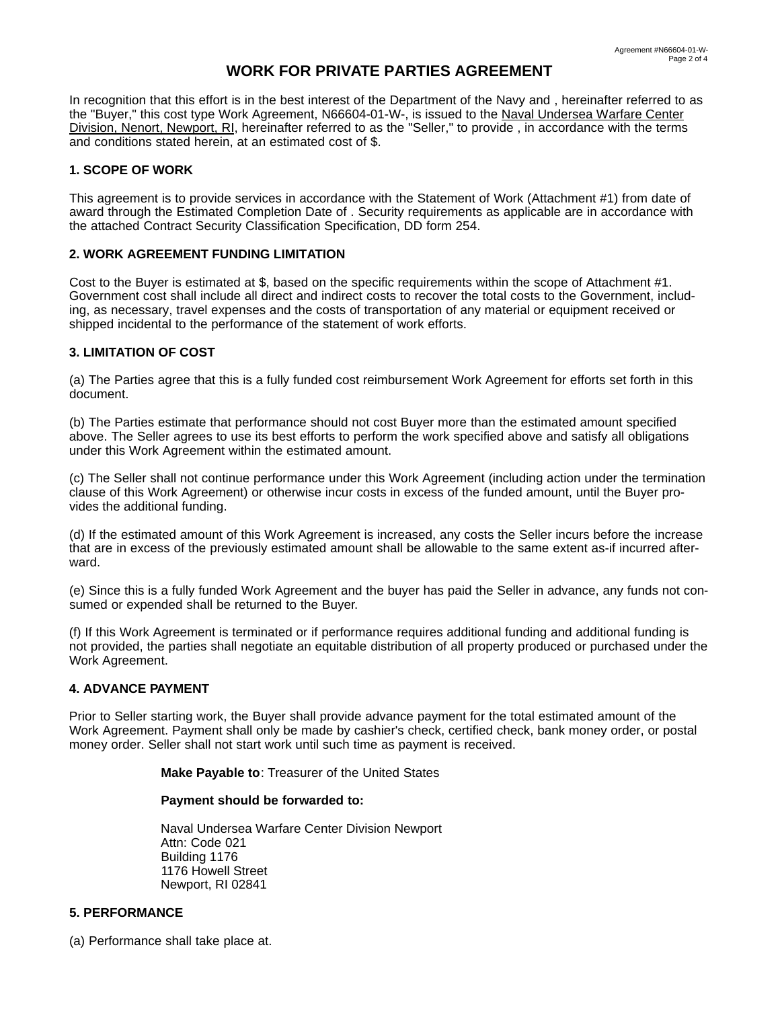# **WORK FOR PRIVATE PARTIES AGREEMENT**

In recognition that this effort is in the best interest of the Department of the Navy and, hereinafter referred to as the "Buyer," this cost type Work Agreement, N66604-01-W-, is issued to the Naval Undersea Warfare Center Division, Nenort, Newport, RI, hereinafter referred to as the "Seller," to provide, in accordance with the terms and conditions stated herein, at an estimated cost of \$.

### **1. SCOPE OF WORK**

This agreement is to provide services in accordance with the Statement of Work (Attachment #1) from date of award through the Estimated Completion Date of . Security requirements as applicable are in accordance with the attached Contract Security Classification Specification, DD form 254.

### **2. WORK AGREEMENT FUNDING LIMITATION**

Cost to the Buyer is estimated at \$, based on the specific requirements within the scope of Attachment #1. Government cost shall include all direct and indirect costs to recover the total costs to the Government, including, as necessary, travel expenses and the costs of transportation of any material or equipment received or shipped incidental to the performance of the statement of work efforts.

## **3. LIMITATION OF COST**

(a) The Parties agree that this is a fully funded cost reimbursement Work Agreement for efforts set forth in this document.

(b) The Parties estimate that performance should not cost Buyer more than the estimated amount specified above. The Seller agrees to use its best efforts to perform the work specified above and satisfy all obligations under this Work Agreement within the estimated amount.

(c) The Seller shall not continue performance under this Work Agreement (including action under the termination clause of this Work Agreement) or otherwise incur costs in excess of the funded amount, until the Buyer provides the additional funding.

(d) If the estimated amount of this Work Agreement is increased, any costs the Seller incurs before the increase that are in excess of the previously estimated amount shall be allowable to the same extent as-if incurred afterward.

(e) Since this is a fully funded Work Agreement and the buyer has paid the Seller in advance, any funds not consumed or expended shall be returned to the Buyer.

(f) If this Work Agreement is terminated or if performance requires additional funding and additional funding is not provided, the parties shall negotiate an equitable distribution of all property produced or purchased under the Work Agreement.

## **4. ADVANCE PAYMENT**

Prior to Seller starting work, the Buyer shall provide advance payment for the total estimated amount of the Work Agreement. Payment shall only be made by cashier's check, certified check, bank money order, or postal money order. Seller shall not start work until such time as payment is received.

**Make Payable to**: Treasurer of the United States

### **Payment should be forwarded to:**

Naval Undersea Warfare Center Division Newport Attn: Code 021 Building 1176 1176 Howell Street Newport, RI 02841

## **5. PERFORMANCE**

(a) Performance shall take place at.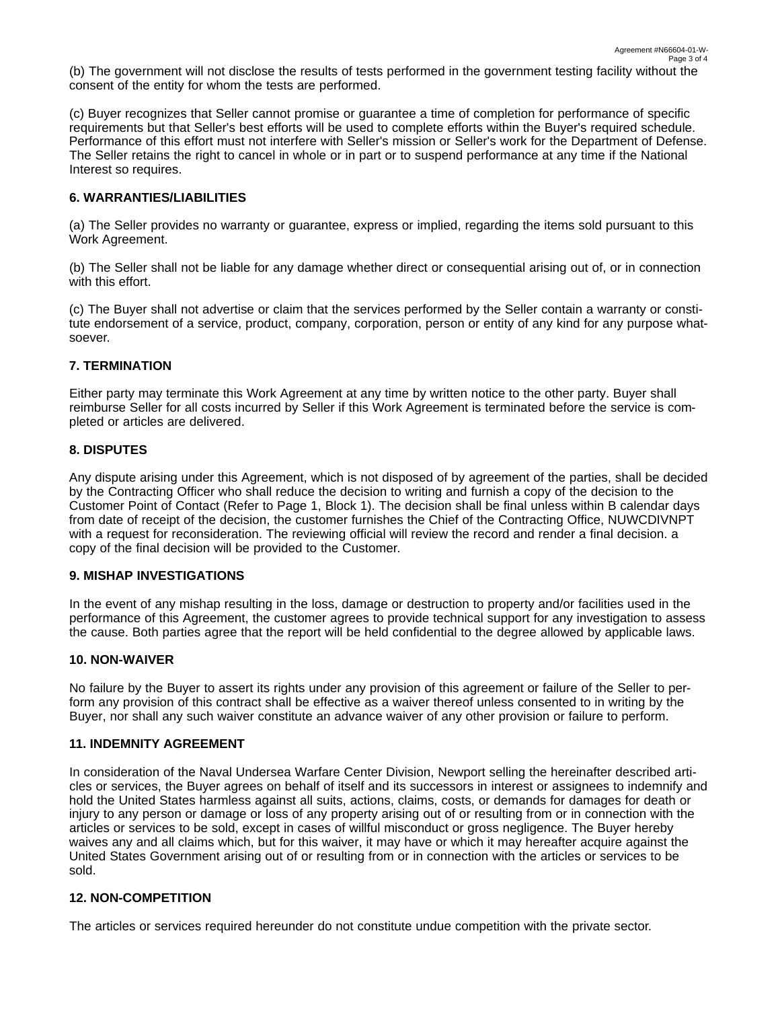(b) The government will not disclose the results of tests performed in the government testing facility without the consent of the entity for whom the tests are performed.

(c) Buyer recognizes that Seller cannot promise or guarantee a time of completion for performance of specific requirements but that Seller's best efforts will be used to complete efforts within the Buyer's required schedule. Performance of this effort must not interfere with Seller's mission or Seller's work for the Department of Defense. The Seller retains the right to cancel in whole or in part or to suspend performance at any time if the National Interest so requires.

### **6. WARRANTIES/LIABILITIES**

(a) The Seller provides no warranty or guarantee, express or implied, regarding the items sold pursuant to this Work Agreement.

(b) The Seller shall not be liable for any damage whether direct or consequential arising out of, or in connection with this effort.

(c) The Buyer shall not advertise or claim that the services performed by the Seller contain a warranty or constitute endorsement of a service, product, company, corporation, person or entity of any kind for any purpose whatsoever.

### **7. TERMINATION**

Either party may terminate this Work Agreement at any time by written notice to the other party. Buyer shall reimburse Seller for all costs incurred by Seller if this Work Agreement is terminated before the service is completed or articles are delivered.

### **8. DISPUTES**

Any dispute arising under this Agreement, which is not disposed of by agreement of the parties, shall be decided by the Contracting Officer who shall reduce the decision to writing and furnish a copy of the decision to the Customer Point of Contact (Refer to Page 1, Block 1). The decision shall be final unless within B calendar days from date of receipt of the decision, the customer furnishes the Chief of the Contracting Office, NUWCDIVNPT with a request for reconsideration. The reviewing official will review the record and render a final decision. a copy of the final decision will be provided to the Customer.

#### **9. MISHAP INVESTIGATIONS**

In the event of any mishap resulting in the loss, damage or destruction to property and/or facilities used in the performance of this Agreement, the customer agrees to provide technical support for any investigation to assess the cause. Both parties agree that the report will be held confidential to the degree allowed by applicable laws.

#### **10. NON-WAIVER**

No failure by the Buyer to assert its rights under any provision of this agreement or failure of the Seller to perform any provision of this contract shall be effective as a waiver thereof unless consented to in writing by the Buyer, nor shall any such waiver constitute an advance waiver of any other provision or failure to perform.

#### **11. INDEMNITY AGREEMENT**

In consideration of the Naval Undersea Warfare Center Division, Newport selling the hereinafter described articles or services, the Buyer agrees on behalf of itself and its successors in interest or assignees to indemnify and hold the United States harmless against all suits, actions, claims, costs, or demands for damages for death or injury to any person or damage or loss of any property arising out of or resulting from or in connection with the articles or services to be sold, except in cases of willful misconduct or gross negligence. The Buyer hereby waives any and all claims which, but for this waiver, it may have or which it may hereafter acquire against the United States Government arising out of or resulting from or in connection with the articles or services to be sold.

#### **12. NON-COMPETITION**

The articles or services required hereunder do not constitute undue competition with the private sector.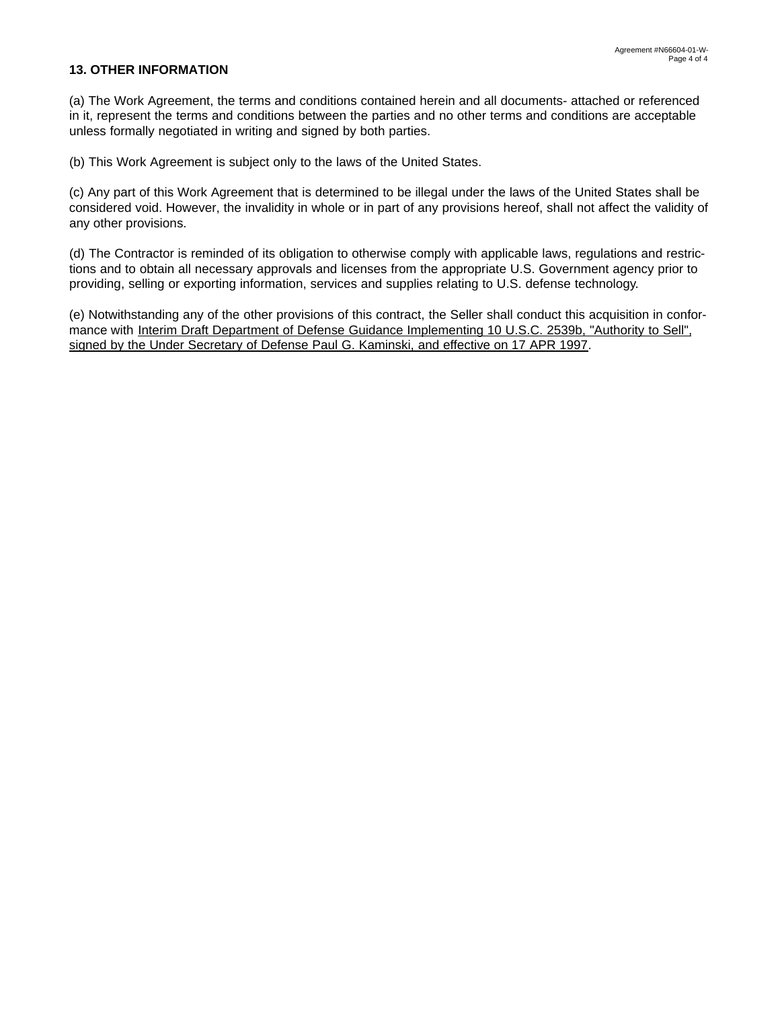## **13. OTHER INFORMATION**

(a) The Work Agreement, the terms and conditions contained herein and all documents- attached or referenced in it, represent the terms and conditions between the parties and no other terms and conditions are acceptable unless formally negotiated in writing and signed by both parties.

(b) This Work Agreement is subject only to the laws of the United States.

(c) Any part of this Work Agreement that is determined to be illegal under the laws of the United States shall be considered void. However, the invalidity in whole or in part of any provisions hereof, shall not affect the validity of any other provisions.

(d) The Contractor is reminded of its obligation to otherwise comply with applicable laws, regulations and restrictions and to obtain all necessary approvals and licenses from the appropriate U.S. Government agency prior to providing, selling or exporting information, services and supplies relating to U.S. defense technology.

(e) Notwithstanding any of the other provisions of this contract, the Seller shall conduct this acquisition in conformance with Interim Draft Department of Defense Guidance Implementing 10 U.S.C. 2539b, "Authority to Sell", signed by the Under Secretary of Defense Paul G. Kaminski, and effective on 17 APR 1997.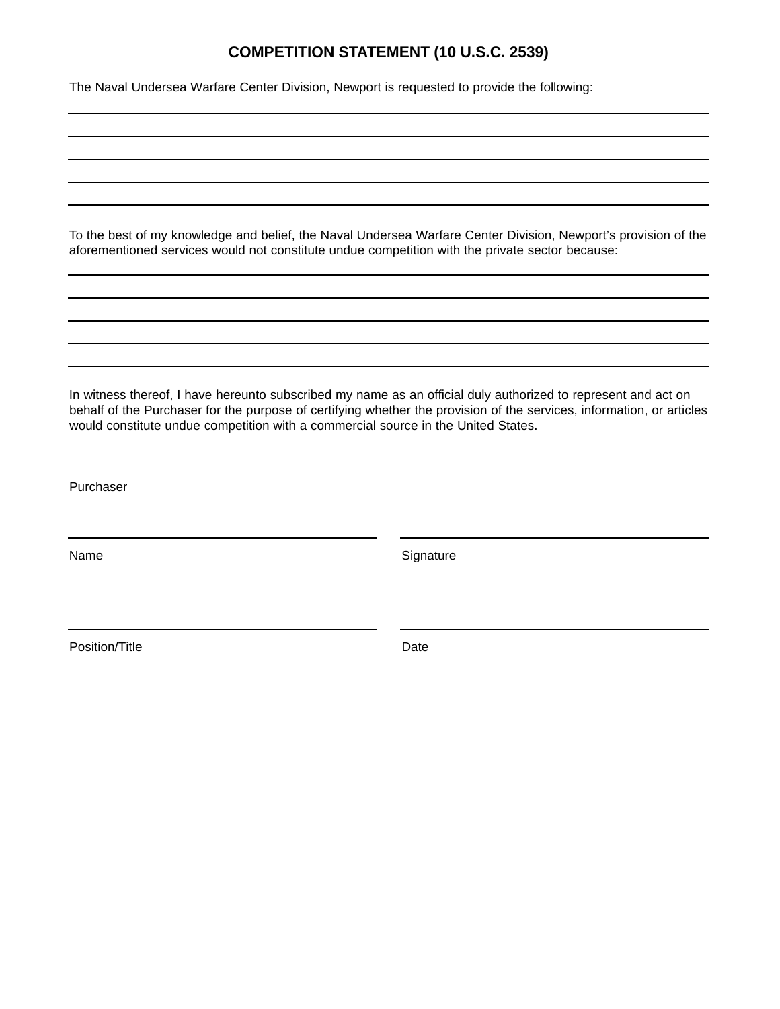# **COMPETITION STATEMENT (10 U.S.C. 2539)**

The Naval Undersea Warfare Center Division, Newport is requested to provide the following:

To the best of my knowledge and belief, the Naval Undersea Warfare Center Division, Newport's provision of the aforementioned services would not constitute undue competition with the private sector because:

In witness thereof, I have hereunto subscribed my name as an official duly authorized to represent and act on behalf of the Purchaser for the purpose of certifying whether the provision of the services, information, or articles would constitute undue competition with a commercial source in the United States.

Purchaser

Name Signature Signature

Position/Title Date